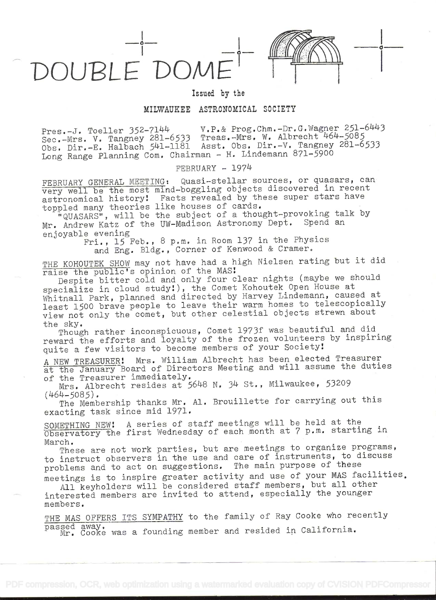DOUBLE' DOM



 $\circ$  —  $\circ$ 

## Issued by the

## MILWAUKEE ASTRONOMICAL SOCIETY

Pres.-J. Toeller 352-7144 V.P.& Prog.Chm.-Dr.G.Wagner 251-6443<br>Innecht 464-5085 Pres.-J. Ibeller 772-7141-6533 Treas.-Mrs. W. Albrecht 464-5085 Sec.-Mrs. v. Tangney 201-0333 Treas. Dir.-V. Tangney 281-6533<br>Obs. Dir.-E. Halbach 541-1181 Asst. Obs. Dir.-V. Tangney 281-6533 Long Range Planning Com. Chairman - H. Lindemann 871-5900

FEBRUARY - 1974

FEBRUARY GENERAL MEETING: Quasi-stellar sources, or quasars, can very well be the most mind-boggling objects discovered in recent astronomical history! Facts revealed by these super stars have astronomical history. The se revealed by these

pled many theories like houses of carus.<br>"QUASARS", will be the subject of a thought-provoking talk by Mr. Andrew Katz of the UW-Madison Astronomy Dept. Spend an enjoyable evening

Fri., 15 Feb., 8 p.m. in Room 137 in the Physics and Eng. Bldg., Corner of Kenwood & Cramer.

THE KOHOUTEK SHOW may not have had a high Nielsen rating but it did raise the public's opinion of the MAS!

Despite bitter cold and only four clear nights (maybe we should specialize in cloud study), the Comet Kohoutek Open House at Whitnall Park, planned and directed by Harvey Lindemann, caused at least 1500 brave people to leave their warm homes to telescopically view not only the comet, but other celestial objects strewn about the sky.

Though rather inconspicuous, Comet 1973f was beautiful and did reward the efforts and loyalty of the frozen volunteers by inspiring quite a few visitors to become members of your Society!

A NEW TREASURER! Mrs. William Albrecht has been elected Treasurer at the January Board of Directors Meeting and will assume the duties of the Treasurer immediately.

Mrs. Albrecht resides at  $5648$  N. 34 St., Milwaukee, 53209 (464-5085).

 $(464-5085)$ .<br>The Membership thanks Mr. Al. Brouillette for carrying out this exacting task since mid 1971.

SOMETHING NEW! A series of staff meetings will be held at the Observatory the first Wednesday of each month at 7 p.m. starting in March.

These are not work parties, but are meetings to organize programs, to instruct observers in the use and care of instruments, to discuss problems and to act on suggestions. The main purpose of these meetings is to inspire greater activity and use of your MAS facilities

All keyholders will be considered staff members, but all other interested members are invited to attend, especially the younger members.

THE MAS OFFERS ITS SYMPATHY to the family of Ray Cooke who recently passed away, Mr. Cooke was a founding member and resided in California.